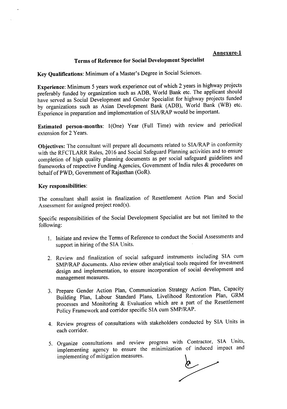## Annexure-l

## Terms of Reference for Social Development Specialist

Key Qualifications: Minimum of a Master's Degree in Social Sciences.

Experience: Minimum 5 years work experience out of which 2 years in highway projects preferably funded by organization such as ADB, World Bank etc. The applicant should have served as Social Development and Gender Specialist for highway projects funded by organizations such as Asian Development Bank (ADB), World Bank (WB) etc. Experience in preparation and implementation of *SIA/RAP* would be important.

Estimated person-months: 1(One) Year (Full Time) with review and periodical extension for 2 Years.

Objectives: The consultant will prepare all documents related to SIA/RAP in conformity with the RFCTLARR Rules, 2016 and Social Safeguard Planning activities and to ensure completion of high quality planning documents as per social safeguard guidelines and frameworks of respective Funding Agencies, Government of India rules & procedures on behalf ofPWD, Government of Rajasthan (GoR).

## Key responsibilities:

The consultant shall assist in finalization of Resettlement Action Plan and Social Assessment for assigned project road(s).

Specific responsibilities of the Social Development Specialist are but not limited to the following:

- 1. Initiate and review the Terms of Reference to conduct the Social Assessments and support in hiring of the SIA Units.
- 2. Review and finalization of social safeguard instruments including SIA cum SMP/RAP documents. Also review other analytical tools required for investment design and implementation, to ensure incorporation of social development and management measures.
- 3. Prepare Gender Action Plan, Communication Strategy Action Plan, Capacity Building Plan, Labour Standard Plans, Livelihood Restoration Plan, GRM processes and Monitoring & Evaluation which are a part of the Resettlement Policy Framework and corridor specific SIA cum SMP/RAP.
- 4. Review progress of consultations with stakeholders conducted by SIA Units in each corridor.
- 5. Organize consultations and review progress with Contractor, SIA Units, implementing agency to ensure the minimization of induced impact and implementing of mitigation measures.

 $\delta$